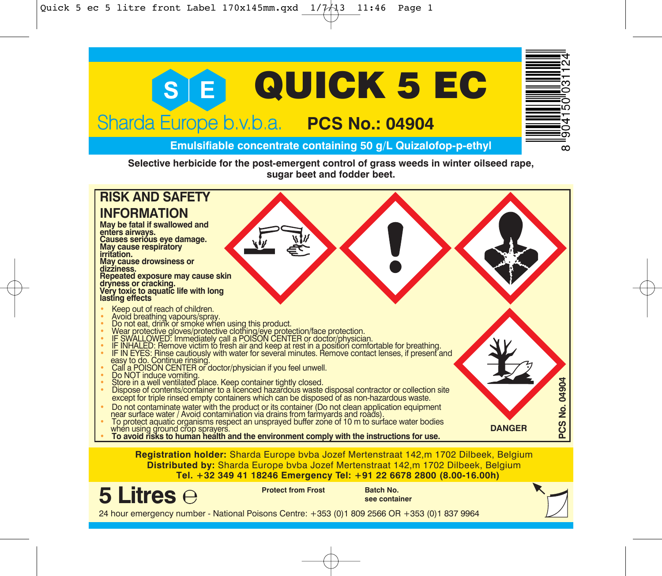

when using ground crop sprayers. • **To avoid risks to human health and the environment comply with the instructions for use.**

**Registration holder:** Sharda Europe bvba Jozef Mertenstraat 142,m 1702 Dilbeek, Belgium **Distributed by:** Sharda Europe bvba Jozef Mertenstraat 142,m 1702 Dilbeek, Belgium **Tel. +32 349 41 18246 Emergency Tel: +91 22 6678 2800 (8.00-16.00h)**

**5 Litres**

**Protect from Frost Batch No.**

**see container**

24 hour emergency number - National Poisons Centre: +353 (0)1 809 2566 OR +353 (0)1 837 9964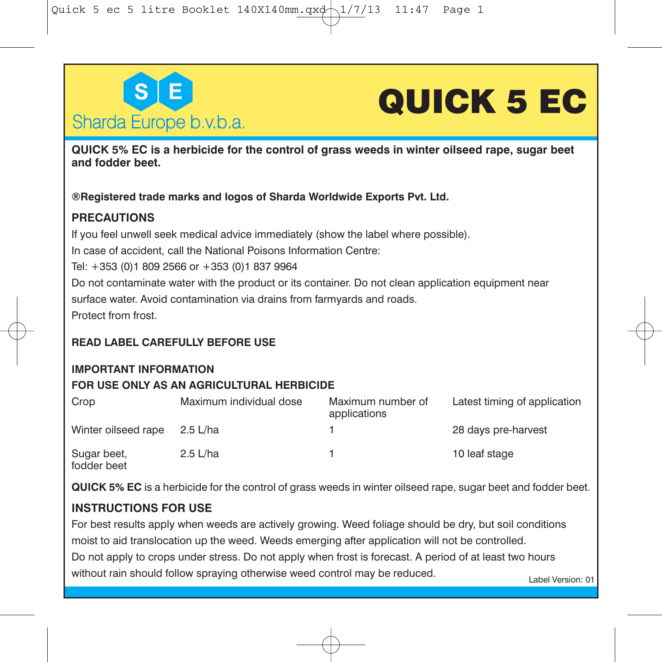

## **QUICK 5 EC**

**QUICK 5% EC is a herbicide for the control of grass weeds in winter oilseed rape, sugar beet and fodder beet.**

**®Registered trade marks and logos of Sharda Worldwide Exports Pvt. Ltd.**

### **PRECAUTIONS**

If you feel unwell seek medical advice immediately (show the label where possible).

In case of accident, call the National Poisons Information Centre:

Tel: +353 (0)1 809 2566 or +353 (0)1 837 9964

Do not contaminate water with the product or its container. Do not clean application equipment near surface water. Avoid contamination via drains from farmyards and roads.

Protect from frost.

## **READ LABEL CAREFULLY BEFORE USE**

## **IMPORTANT INFORMATION**

### **FOR USE ONLY AS AN AGRICULTURAL HERBICIDE**

| Crop                       | Maximum individual dose | Maximum number of<br>applications | Latest timing of application |
|----------------------------|-------------------------|-----------------------------------|------------------------------|
| Winter oilseed rape        | 2.5 L/ha                |                                   | 28 days pre-harvest          |
| Sugar beet,<br>fodder beet | $2.5$ L/ha              |                                   | 10 leaf stage                |

**QUICK 5% EC** is a herbicide for the control of grass weeds in winter oilseed rape, sugar beet and fodder beet.

## **INSTRUCTIONS FOR USE**

Label Version: 01 For best results apply when weeds are actively growing. Weed foliage should be dry, but soil conditions moist to aid translocation up the weed. Weeds emerging after application will not be controlled. Do not apply to crops under stress. Do not apply when frost is forecast. A period of at least two hours without rain should follow spraying otherwise weed control may be reduced.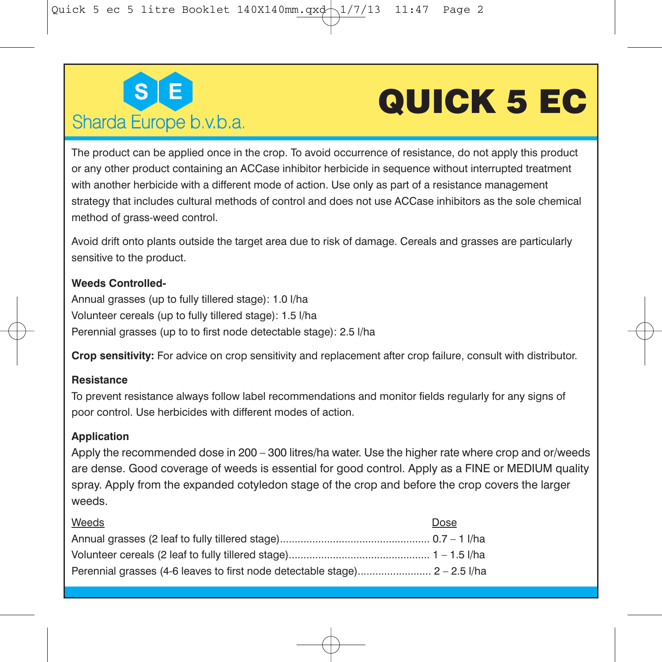

# **QUICK 5 EC**

The product can be applied once in the crop. To avoid occurrence of resistance, do not apply this product or any other product containing an ACCase inhibitor herbicide in sequence without interrupted treatment with another herbicide with a different mode of action. Use only as part of a resistance management strategy that includes cultural methods of control and does not use ACCase inhibitors as the sole chemical method of grass-weed control.

Avoid drift onto plants outside the target area due to risk of damage. Cereals and grasses are particularly sensitive to the product.

#### **Weeds Controlled-**

Annual grasses (up to fully tillered stage): 1.0 l/ha Volunteer cereals (up to fully tillered stage): 1.5 l/ha Perennial grasses (up to to first node detectable stage): 2.5 l/ha

**Crop sensitivity:** For advice on crop sensitivity and replacement after crop failure, consult with distributor.

#### **Resistance**

To prevent resistance always follow label recommendations and monitor fields regularly for any signs of poor control. Use herbicides with different modes of action.

### **Application**

Apply the recommended dose in 200 – 300 litres/ha water. Use the higher rate where crop and or/weeds are dense. Good coverage of weeds is essential for good control. Apply as a FINE or MEDIUM quality spray. Apply from the expanded cotyledon stage of the crop and before the crop covers the larger weeds.

| Weeds | Dose |
|-------|------|
|       |      |
|       |      |
|       |      |